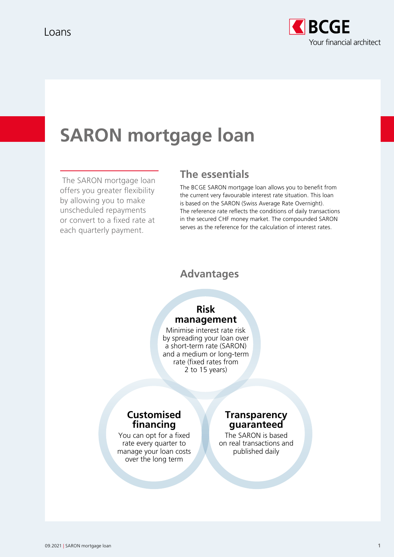

# **SARON mortgage loan**

 The SARON mortgage loan offers you greater flexibility by allowing you to make unscheduled repayments or convert to a fixed rate at each quarterly payment.

# **The essentials**

The BCGE SARON mortgage loan allows you to benefit from the current very favourable interest rate situation. This loan is based on the SARON (Swiss Average Rate Overnight). The reference rate reflects the conditions of daily transactions in the secured CHF money market. The compounded SARON serves as the reference for the calculation of interest rates.

#### **Advantages**

## **Risk management**

Minimise interest rate risk by spreading your loan over a short-term rate (SARON) and a medium or long-term rate (fixed rates from 2 to 15 years)

### **Customised financing**

You can opt for a fixed rate every quarter to manage your loan costs over the long term

#### **Transparency guaranteed**

The SARON is based on real transactions and published daily